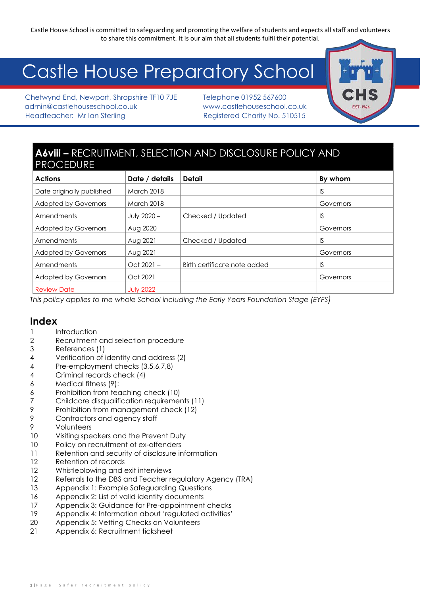# Castle House Preparatory School

Chetwynd End, Newport, Shropshire TF10 7JE Telephone 01952 567600 admin@castlehouseschool.co.uk www.castlehouseschool.co.uk Headteacher: Mr Ian Sterling Theory Registered Charity No. 510515

### **A6viii –** RECRUITMENT, SELECTION AND DISCLOSURE POLICY AND PROCEDURE

| <b>Actions</b>              | Date / details    | Detail                       | By whom   |
|-----------------------------|-------------------|------------------------------|-----------|
| Date originally published   | <b>March 2018</b> |                              | IS        |
| <b>Adopted by Governors</b> | <b>March 2018</b> |                              | Governors |
| Amendments                  | July 2020 -       | Checked / Updated            | IS        |
| <b>Adopted by Governors</b> | Aug 2020          |                              | Governors |
| Amendments                  | Aug $2021 -$      | Checked / Updated            | IS        |
| <b>Adopted by Governors</b> | Aug 2021          |                              | Governors |
| Amendments                  | $Oct 2021 -$      | Birth certificate note added | IS        |
| <b>Adopted by Governors</b> | Oct 2021          |                              | Governors |
| <b>Review Date</b>          | <b>July 2022</b>  |                              |           |

*This policy applies to the whole School including the Early Years Foundation Stage (EYFS)*

#### **Index**

- 1 Introduction
- 2 Recruitment and selection procedure
- 3 References (1)
- 4 Verification of identity and address (2)
- 4 Pre-employment checks (3,5,6,7,8)
- 4 Criminal records check (4)
- 6 Medical fitness (9):
- 6 Prohibition from teaching check (10)
- 7 Childcare disqualification requirements (11)
- 9 Prohibition from management check (12)
- 9 Contractors and agency staff
- 9 Volunteers
- 10 Visiting speakers and the Prevent Duty
- 10 Policy on recruitment of ex-offenders
- 11 Retention and security of disclosure information
- 12 Retention of records
- 12 Whistleblowing and exit interviews
- 12 Referrals to the DBS and Teacher regulatory Agency (TRA)
- 13 Appendix 1: Example Safeguarding Questions
- 16 Appendix 2: List of valid identity documents
- 17 Appendix 3: Guidance for Pre-appointment checks
- 19 Appendix 4: Information about 'regulated activities'
- 20 Appendix 5: Vetting Checks on Volunteers
- 21 Appendix 6: Recruitment ticksheet

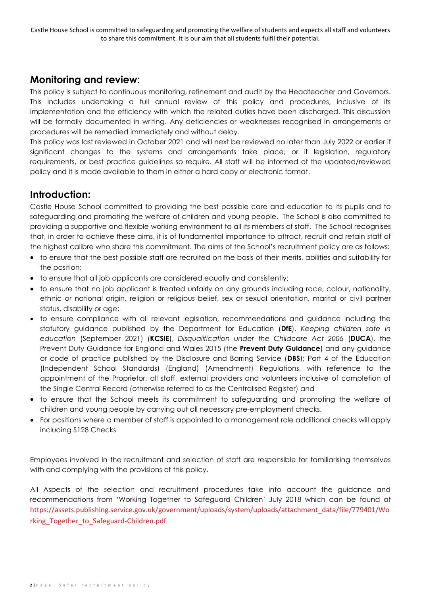### **Monitoring and review**:

This policy is subject to continuous monitoring, refinement and audit by the Headteacher and Governors. This includes undertaking a full annual review of this policy and procedures, inclusive of its implementation and the efficiency with which the related duties have been discharged. This discussion will be formally documented in writing. Any deficiencies or weaknesses recognised in arrangements or procedures will be remedied immediately and without delay.

This policy was last reviewed in October 2021 and will next be reviewed no later than July 2022 or earlier if significant changes to the systems and arrangements take place, or if legislation, regulatory requirements, or best practice guidelines so require. All staff will be informed of the updated/reviewed policy and it is made available to them in either a hard copy or electronic format.

### **Introduction:**

Castle House School committed to providing the best possible care and education to its pupils and to safeguarding and promoting the welfare of children and young people. The School is also committed to providing a supportive and flexible working environment to all its members of staff. The School recognises that, in order to achieve these aims, it is of fundamental importance to attract, recruit and retain staff of the highest calibre who share this commitment. The aims of the School's recruitment policy are as follows:

- to ensure that the best possible staff are recruited on the basis of their merits, abilities and suitability for the position;
- to ensure that all job applicants are considered equally and consistently;
- to ensure that no job applicant is treated unfairly on any grounds including race, colour, nationality, ethnic or national origin, religion or religious belief, sex or sexual orientation, marital or civil partner status, disability or age;
- to ensure compliance with all relevant legislation, recommendations and guidance including the statutory guidance published by the Department for Education (**DfE**), *Keeping children safe in education* (September 2021) (**KCSIE**), *Disqualification under the Childcare Act 2006* (**DUCA**), the Prevent Duty Guidance for England and Wales 2015 (the **Prevent Duty Guidance**) and any guidance or code of practice published by the Disclosure and Barring Service (**DBS**); Part 4 of the Education (Independent School Standards) (England) (Amendment) Regulations, with reference to the appointment of the Proprietor, all staff, external providers and volunteers inclusive of completion of the Single Central Record (otherwise referred to as the Centralised Register) and
- to ensure that the School meets its commitment to safeguarding and promoting the welfare of children and young people by carrying out all necessary pre-employment checks.
- For positions where a member of staff is appointed to a management role additional checks will apply including S128 Checks

Employees involved in the recruitment and selection of staff are responsible for familiarising themselves with and complying with the provisions of this policy.

All Aspects of the selection and recruitment procedures take into account the guidance and recommendations from 'Working Together to Safeguard Children' July 2018 which can be found at [https://assets.publishing.service.gov.uk/government/uploads/system/uploads/attachment\\_data/file/779401/Wo](https://assets.publishing.service.gov.uk/government/uploads/system/uploads/attachment_data/file/779401/Working_Together_to_Safeguard-Children.pdf) [rking\\_Together\\_to\\_Safeguard-Children.pdf](https://assets.publishing.service.gov.uk/government/uploads/system/uploads/attachment_data/file/779401/Working_Together_to_Safeguard-Children.pdf)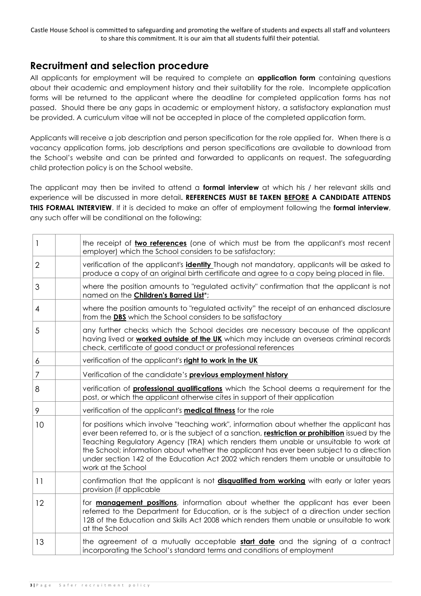### **Recruitment and selection procedure**

All applicants for employment will be required to complete an **application form** containing questions about their academic and employment history and their suitability for the role. Incomplete application forms will be returned to the applicant where the deadline for completed application forms has not passed. Should there be any gaps in academic or employment history, a satisfactory explanation must be provided. A curriculum vitae will not be accepted in place of the completed application form.

Applicants will receive a job description and person specification for the role applied for. When there is a vacancy application forms, job descriptions and person specifications are available to download from the School's website and can be printed and forwarded to applicants on request. The safeguarding child protection policy is on the School website.

The applicant may then be invited to attend a **formal interview** at which his / her relevant skills and experience will be discussed in more detail**. REFERENCES MUST BE TAKEN BEFORE A CANDIDATE ATTENDS THIS FORMAL INTERVIEW**. If it is decided to make an offer of employment following the **formal interview**, any such offer will be conditional on the following:

| $\mathbf{1}$   | the receipt of two references (one of which must be from the applicant's most recent<br>employer) which the School considers to be satisfactory;                                                                                                                                                                                                                                                                                                                                                |
|----------------|-------------------------------------------------------------------------------------------------------------------------------------------------------------------------------------------------------------------------------------------------------------------------------------------------------------------------------------------------------------------------------------------------------------------------------------------------------------------------------------------------|
| $\overline{2}$ | verification of the applicant's <b>identity</b> Though not mandatory, applicants will be asked to<br>produce a copy of an original birth certificate and agree to a copy being placed in file.                                                                                                                                                                                                                                                                                                  |
| 3              | where the position amounts to "regulated activity" confirmation that the applicant is not<br>named on the Children's Barred List*;                                                                                                                                                                                                                                                                                                                                                              |
| 4              | where the position amounts to "regulated activity" the receipt of an enhanced disclosure<br>from the DBS which the School considers to be satisfactory                                                                                                                                                                                                                                                                                                                                          |
| 5              | any further checks which the School decides are necessary because of the applicant<br>having lived or <b>worked outside of the UK</b> which may include an overseas criminal records<br>check, certificate of good conduct or professional references                                                                                                                                                                                                                                           |
| 6              | verification of the applicant's right to work in the UK                                                                                                                                                                                                                                                                                                                                                                                                                                         |
| $\overline{7}$ | Verification of the candidate's previous employment history                                                                                                                                                                                                                                                                                                                                                                                                                                     |
| 8              | verification of <b>professional qualifications</b> which the School deems a requirement for the<br>post, or which the applicant otherwise cites in support of their application                                                                                                                                                                                                                                                                                                                 |
| 9              | verification of the applicant's <b>medical fitness</b> for the role                                                                                                                                                                                                                                                                                                                                                                                                                             |
| 10             | for positions which involve "teaching work", information about whether the applicant has<br>ever been referred to, or is the subject of a sanction, restriction or prohibition issued by the<br>Teaching Regulatory Agency (TRA) which renders them unable or unsuitable to work at<br>the School; information about whether the applicant has ever been subject to a direction<br>under section 142 of the Education Act 2002 which renders them unable or unsuitable to<br>work at the School |
| 11             | confirmation that the applicant is not <b>disqualified from working</b> with early or later years<br>provision (if applicable                                                                                                                                                                                                                                                                                                                                                                   |
| 12             | for <b>management positions</b> , information about whether the applicant has ever been<br>referred to the Department for Education, or is the subject of a direction under section<br>128 of the Education and Skills Act 2008 which renders them unable or unsuitable to work<br>at the School                                                                                                                                                                                                |
| 13             | the agreement of a mutually acceptable <b>start date</b> and the signing of a contract<br>incorporating the School's standard terms and conditions of employment                                                                                                                                                                                                                                                                                                                                |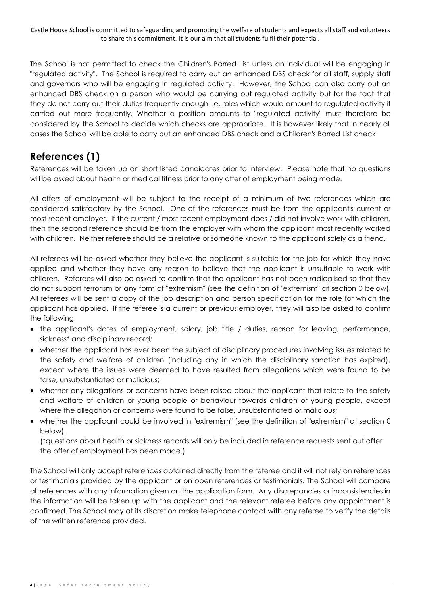The School is not permitted to check the Children's Barred List unless an individual will be engaging in "regulated activity". The School is required to carry out an enhanced DBS check for all staff, supply staff and governors who will be engaging in regulated activity. However, the School can also carry out an enhanced DBS check on a person who would be carrying out regulated activity but for the fact that they do not carry out their duties frequently enough i.e. roles which would amount to regulated activity if carried out more frequently. Whether a position amounts to "regulated activity" must therefore be considered by the School to decide which checks are appropriate. It is however likely that in nearly all cases the School will be able to carry out an enhanced DBS check and a Children's Barred List check.

### **References (1)**

References will be taken up on short listed candidates prior to interview. Please note that no questions will be asked about health or medical fitness prior to any offer of employment being made.

All offers of employment will be subject to the receipt of a minimum of two references which are considered satisfactory by the School. One of the references must be from the applicant's current or most recent employer. If the current / most recent employment does / did not involve work with children, then the second reference should be from the employer with whom the applicant most recently worked with children. Neither referee should be a relative or someone known to the applicant solely as a friend.

All referees will be asked whether they believe the applicant is suitable for the job for which they have applied and whether they have any reason to believe that the applicant is unsuitable to work with children. Referees will also be asked to confirm that the applicant has not been radicalised so that they do not support terrorism or any form of "extremism" (see the definition of "extremism" at section [0](#page-10-0) below). All referees will be sent a copy of the job description and person specification for the role for which the applicant has applied. If the referee is a current or previous employer, they will also be asked to confirm the following:

- the applicant's dates of employment, salary, job title / duties, reason for leaving, performance, sickness\* and disciplinary record;
- whether the applicant has ever been the subject of disciplinary procedures involving issues related to the safety and welfare of children (including any in which the disciplinary sanction has expired), except where the issues were deemed to have resulted from allegations which were found to be false, unsubstantiated or malicious;
- whether any allegations or concerns have been raised about the applicant that relate to the safety and welfare of children or young people or behaviour towards children or young people, except where the allegation or concerns were found to be false, unsubstantiated or malicious;
- whether the applicant could be involved in "extremism" (see the definition of "extremism" at section [0](#page-10-0) below).

(\*questions about health or sickness records will only be included in reference requests sent out after the offer of employment has been made.)

The School will only accept references obtained directly from the referee and it will not rely on references or testimonials provided by the applicant or on open references or testimonials. The School will compare all references with any information given on the application form. Any discrepancies or inconsistencies in the information will be taken up with the applicant and the relevant referee before any appointment is confirmed. The School may at its discretion make telephone contact with any referee to verify the details of the written reference provided.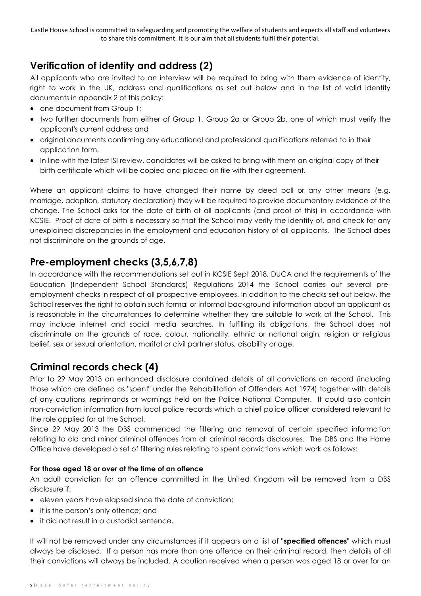### **Verification of identity and address (2)**

All applicants who are invited to an interview will be required to bring with them evidence of identity, right to work in the UK, address and qualifications as set out below and in the list of valid identity documents in appendix 2 of this policy:

- one document from Group 1;
- two further documents from either of Group 1, Group 2a or Group 2b, one of which must verify the applicant's current address and
- original documents confirming any educational and professional qualifications referred to in their application form.
- In line with the latest ISI review, candidates will be asked to bring with them an original copy of their birth certificate which will be copied and placed on file with their agreement.

Where an applicant claims to have changed their name by deed poll or any other means (e.g. marriage, adoption, statutory declaration) they will be required to provide documentary evidence of the change. The School asks for the date of birth of all applicants (and proof of this) in accordance with KCSIE. Proof of date of birth is necessary so that the School may verify the identity of, and check for any unexplained discrepancies in the employment and education history of all applicants. The School does not discriminate on the grounds of age.

### **Pre-employment checks (3,5,6,7,8)**

In accordance with the recommendations set out in KCSIE Sept 2018, DUCA and the requirements of the Education (Independent School Standards) Regulations 2014 the School carries out several preemployment checks in respect of all prospective employees. In addition to the checks set out below, the School reserves the right to obtain such formal or informal background information about an applicant as is reasonable in the circumstances to determine whether they are suitable to work at the School. This may include internet and social media searches. In fulfilling its obligations, the School does not discriminate on the grounds of race, colour, nationality, ethnic or national origin, religion or religious belief, sex or sexual orientation, marital or civil partner status, disability or age.

### <span id="page-4-0"></span>**Criminal records check (4)**

Prior to 29 May 2013 an enhanced disclosure contained details of all convictions on record (including those which are defined as "spent" under the Rehabilitation of Offenders Act 1974) together with details of any cautions, reprimands or warnings held on the Police National Computer. It could also contain non-conviction information from local police records which a chief police officer considered relevant to the role applied for at the School.

Since 29 May 2013 the DBS commenced the filtering and removal of certain specified information relating to old and minor criminal offences from all criminal records disclosures. The DBS and the Home Office have developed a set of filtering rules relating to spent convictions which work as follows:

#### **For those aged 18 or over at the time of an offence**

An adult conviction for an offence committed in the United Kingdom will be removed from a DBS disclosure if:

- eleven years have elapsed since the date of conviction;
- it is the person's only offence; and
- it did not result in a custodial sentence.

It will not be removed under any circumstances if it appears on a list of "**specified offences**" which must always be disclosed. If a person has more than one offence on their criminal record, then details of all their convictions will always be included. A caution received when a person was aged 18 or over for an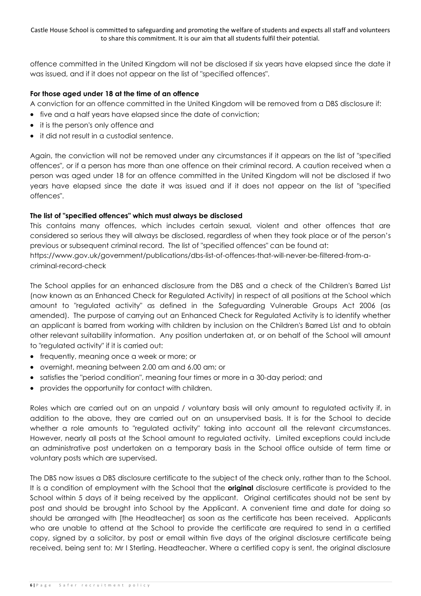offence committed in the United Kingdom will not be disclosed if six years have elapsed since the date it was issued, and if it does not appear on the list of "specified offences".

#### **For those aged under 18 at the time of an offence**

A conviction for an offence committed in the United Kingdom will be removed from a DBS disclosure if:

- five and a half years have elapsed since the date of conviction;
- it is the person's only offence and
- it did not result in a custodial sentence.

Again, the conviction will not be removed under any circumstances if it appears on the list of "specified offences", or if a person has more than one offence on their criminal record. A caution received when a person was aged under 18 for an offence committed in the United Kingdom will not be disclosed if two years have elapsed since the date it was issued and if it does not appear on the list of "specified offences".

#### **The list of "specified offences" which must always be disclosed**

This contains many offences, which includes certain sexual, violent and other offences that are considered so serious they will always be disclosed, regardless of when they took place or of the person's previous or subsequent criminal record. The list of "specified offences" can be found at: [https://www.gov.uk/government/publications/dbs-list-of-offences-that-will-never-be-filtered-from-a-](https://www.gov.uk/government/publications/dbs-list-of-offences-that-will-never-be-filtered-from-a-criminal-record-check)

[criminal-record-check](https://www.gov.uk/government/publications/dbs-list-of-offences-that-will-never-be-filtered-from-a-criminal-record-check) The School applies for an enhanced disclosure from the DBS and a check of the Children's Barred List

(now known as an Enhanced Check for Regulated Activity) in respect of all positions at the School which amount to "regulated activity" as defined in the Safeguarding Vulnerable Groups Act 2006 (as amended). The purpose of carrying out an Enhanced Check for Regulated Activity is to identify whether an applicant is barred from working with children by inclusion on the Children's Barred List and to obtain other relevant suitability information. Any position undertaken at, or on behalf of the School will amount to "regulated activity" if it is carried out:

- frequently, meaning once a week or more; or
- overnight, meaning between 2.00 am and 6.00 am; or
- satisfies the "period condition", meaning four times or more in a 30-day period; and
- provides the opportunity for contact with children.

Roles which are carried out on an unpaid / voluntary basis will only amount to regulated activity if, in addition to the above, they are carried out on an unsupervised basis. It is for the School to decide whether a role amounts to "regulated activity" taking into account all the relevant circumstances. However, nearly all posts at the School amount to regulated activity. Limited exceptions could include an administrative post undertaken on a temporary basis in the School office outside of term time or voluntary posts which are supervised.

The DBS now issues a DBS disclosure certificate to the subject of the check only, rather than to the School. It is a condition of employment with the School that the **original** disclosure certificate is provided to the School within 5 days of it being received by the applicant. Original certificates should not be sent by post and should be brought into School by the Applicant. A convenient time and date for doing so should be arranged with [the Headteacher] as soon as the certificate has been received. Applicants who are unable to attend at the School to provide the certificate are required to send in a certified copy, signed by a solicitor, by post or email within five days of the original disclosure certificate being received, being sent to: Mr I Sterling. Headteacher. Where a certified copy is sent, the original disclosure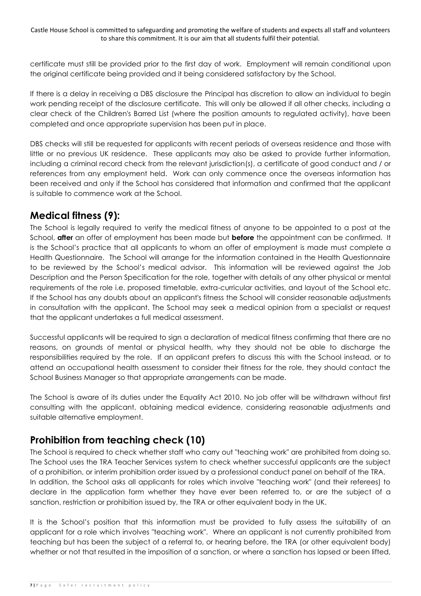certificate must still be provided prior to the first day of work. Employment will remain conditional upon the original certificate being provided and it being considered satisfactory by the School.

If there is a delay in receiving a DBS disclosure the Principal has discretion to allow an individual to begin work pending receipt of the disclosure certificate. This will only be allowed if all other checks, including a clear check of the Children's Barred List (where the position amounts to regulated activity), have been completed and once appropriate supervision has been put in place.

DBS checks will still be requested for applicants with recent periods of overseas residence and those with little or no previous UK residence. These applicants may also be asked to provide further information, including a criminal record check from the relevant jurisdiction(s), a certificate of good conduct and / or references from any employment held. Work can only commence once the overseas information has been received and only if the School has considered that information and confirmed that the applicant is suitable to commence work at the School.

### **Medical fitness (9):**

The School is legally required to verify the medical fitness of anyone to be appointed to a post at the School, **after** an offer of employment has been made but **before** the appointment can be confirmed. It is the School's practice that all applicants to whom an offer of employment is made must complete a Health Questionnaire. The School will arrange for the information contained in the Health Questionnaire to be reviewed by the School's medical advisor. This information will be reviewed against the Job Description and the Person Specification for the role, together with details of any other physical or mental requirements of the role i.e. proposed timetable, extra-curricular activities, and layout of the School etc. If the School has any doubts about an applicant's fitness the School will consider reasonable adjustments in consultation with the applicant. The School may seek a medical opinion from a specialist or request that the applicant undertakes a full medical assessment.

Successful applicants will be required to sign a declaration of medical fitness confirming that there are no reasons, on grounds of mental or physical health, why they should not be able to discharge the responsibilities required by the role. If an applicant prefers to discuss this with the School instead, or to attend an occupational health assessment to consider their fitness for the role, they should contact the School Business Manager so that appropriate arrangements can be made.

The School is aware of its duties under the Equality Act 2010. No job offer will be withdrawn without first consulting with the applicant, obtaining medical evidence, considering reasonable adjustments and suitable alternative employment.

### **Prohibition from teaching check (10)**

The School is required to check whether staff who carry out "teaching work" are prohibited from doing so. The School uses the TRA Teacher Services system to check whether successful applicants are the subject of a prohibition, or interim prohibition order issued by a professional conduct panel on behalf of the TRA. In addition, the School asks all applicants for roles which involve "teaching work" (and their referees) to declare in the application form whether they have ever been referred to, or are the subject of a sanction, restriction or prohibition issued by, the TRA or other equivalent body in the UK.

It is the School's position that this information must be provided to fully assess the suitability of an applicant for a role which involves "teaching work". Where an applicant is not currently prohibited from teaching but has been the subject of a referral to, or hearing before, the TRA (or other equivalent body) whether or not that resulted in the imposition of a sanction, or where a sanction has lapsed or been lifted,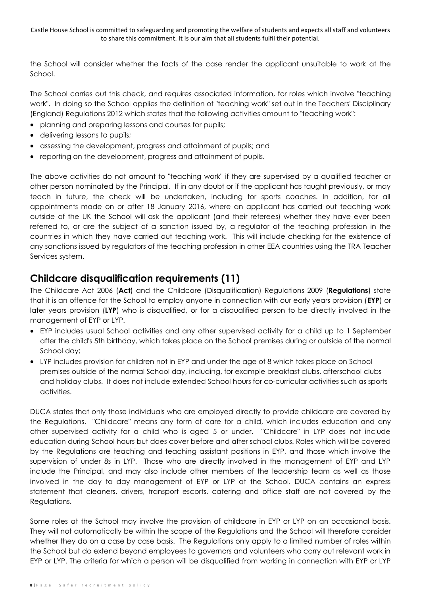the School will consider whether the facts of the case render the applicant unsuitable to work at the School.

The School carries out this check, and requires associated information, for roles which involve "teaching work". In doing so the School applies the definition of "teaching work" set out in the Teachers' Disciplinary (England) Regulations 2012 which states that the following activities amount to "teaching work":

- planning and preparing lessons and courses for pupils;
- delivering lessons to pupils;
- assessing the development, progress and attainment of pupils; and
- reporting on the development, progress and attainment of pupils.

The above activities do not amount to "teaching work" if they are supervised by a qualified teacher or other person nominated by the Principal. If in any doubt or if the applicant has taught previously, or may teach in future, the check will be undertaken, including for sports coaches. In addition, for all appointments made on or after 18 January 2016, where an applicant has carried out teaching work outside of the UK the School will ask the applicant (and their referees) whether they have ever been referred to, or are the subject of a sanction issued by, a regulator of the teaching profession in the countries in which they have carried out teaching work. This will include checking for the existence of any sanctions issued by regulators of the teaching profession in other EEA countries using the TRA Teacher Services system.

### **Childcare disqualification requirements (11)**

The Childcare Act 2006 (**Act**) and the Childcare (Disqualification) Regulations 2009 (**Regulations**) state that it is an offence for the School to employ anyone in connection with our early years provision (**EYP**) or later years provision (**LYP**) who is disqualified, or for a disqualified person to be directly involved in the management of EYP or LYP.

- EYP includes usual School activities and any other supervised activity for a child up to 1 September after the child's 5th birthday, which takes place on the School premises during or outside of the normal School day;
- LYP includes provision for children not in EYP and under the age of 8 which takes place on School premises outside of the normal School day, including, for example breakfast clubs, afterschool clubs and holiday clubs. It does not include extended School hours for co-curricular activities such as sports activities.

DUCA states that only those individuals who are employed directly to provide childcare are covered by the Regulations. "Childcare" means any form of care for a child, which includes education and any other supervised activity for a child who is aged 5 or under. "Childcare" in LYP does not include education during School hours but does cover before and after school clubs. Roles which will be covered by the Regulations are teaching and teaching assistant positions in EYP, and those which involve the supervision of under 8s in LYP. Those who are directly involved in the management of EYP and LYP include the Principal, and may also include other members of the leadership team as well as those involved in the day to day management of EYP or LYP at the School. DUCA contains an express statement that cleaners, drivers, transport escorts, catering and office staff are not covered by the Regulations.

Some roles at the School may involve the provision of childcare in EYP or LYP on an occasional basis. They will not automatically be within the scope of the Regulations and the School will therefore consider whether they do on a case by case basis. The Regulations only apply to a limited number of roles within the School but do extend beyond employees to governors and volunteers who carry out relevant work in EYP or LYP. The criteria for which a person will be disqualified from working in connection with EYP or LYP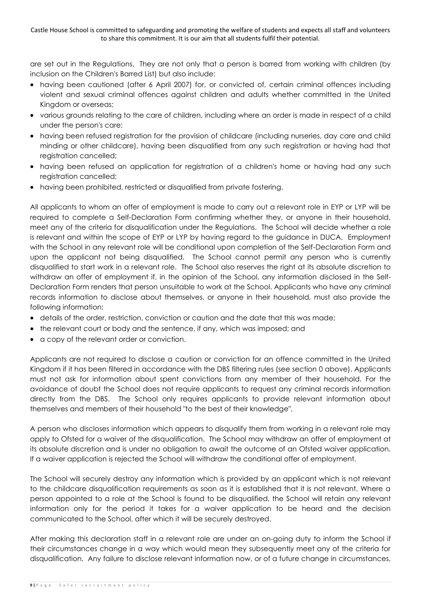are set out in the Regulations. They are not only that a person is barred from working with children (by inclusion on the Children's Barred List) but also include:

- having been cautioned (after 6 April 2007) for, or convicted of, certain criminal offences including violent and sexual criminal offences against children and adults whether committed in the United Kingdom or overseas;
- various grounds relating to the care of children, including where an order is made in respect of a child under the person's care;
- having been refused registration for the provision of childcare (including nurseries, day care and child minding or other childcare), having been disqualified from any such registration or having had that registration cancelled;
- having been refused an application for registration of a children's home or having had any such registration cancelled;
- having been prohibited, restricted or disqualified from private fostering.

All applicants to whom an offer of employment is made to carry out a relevant role in EYP or LYP will be required to complete a Self-Declaration Form confirming whether they, or anyone in their household, meet any of the criteria for disqualification under the Regulations. The School will decide whether a role is relevant and within the scope of EYP or LYP by having regard to the guidance in DUCA. Employment with the School in any relevant role will be conditional upon completion of the Self-Declaration Form and upon the applicant not being disqualified. The School cannot permit any person who is currently disqualified to start work in a relevant role. The School also reserves the right at its absolute discretion to withdraw an offer of employment if, in the opinion of the School, any information disclosed in the Self-Declaration Form renders that person unsuitable to work at the School. Applicants who have any criminal records information to disclose about themselves, or anyone in their household, must also provide the following information:

- details of the order, restriction, conviction or caution and the date that this was made;
- the relevant court or body and the sentence, if any, which was imposed; and
- a copy of the relevant order or conviction.

Applicants are not required to disclose a caution or conviction for an offence committed in the United Kingdom if it has been filtered in accordance with the DBS filtering rules (see section [0](#page-4-0) above). Applicants must not ask for information about spent convictions from any member of their household. For the avoidance of doubt the School does not require applicants to request any criminal records information directly from the DBS. The School only requires applicants to provide relevant information about themselves and members of their household "to the best of their knowledge".

A person who discloses information which appears to disqualify them from working in a relevant role may apply to Ofsted for a waiver of the disqualification. The School may withdraw an offer of employment at its absolute discretion and is under no obligation to await the outcome of an Ofsted waiver application. If a waiver application is rejected the School will withdraw the conditional offer of employment.

The School will securely destroy any information which is provided by an applicant which is not relevant to the childcare disqualification requirements as soon as it is established that it is not relevant. Where a person appointed to a role at the School is found to be disqualified, the School will retain any relevant information only for the period it takes for a waiver application to be heard and the decision communicated to the School, after which it will be securely destroyed.

After making this declaration staff in a relevant role are under an on-going duty to inform the School if their circumstances change in a way which would mean they subsequently meet any of the criteria for disqualification. Any failure to disclose relevant information now, or of a future change in circumstances,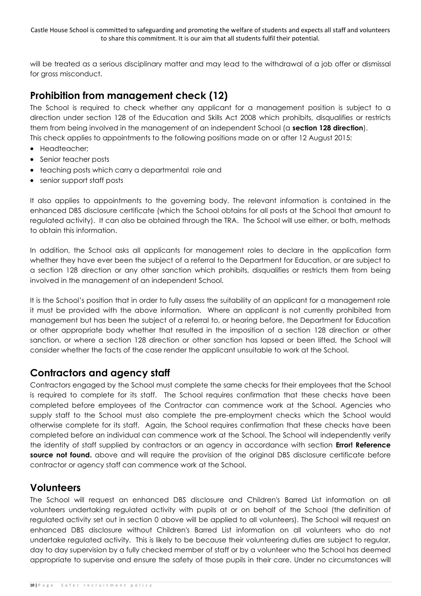will be treated as a serious disciplinary matter and may lead to the withdrawal of a job offer or dismissal for gross misconduct.

### **Prohibition from management check (12)**

The School is required to check whether any applicant for a management position is subject to a direction under section 128 of the Education and Skills Act 2008 which prohibits, disqualifies or restricts them from being involved in the management of an independent School (a **section 128 direction**). This check applies to appointments to the following positions made on or after 12 August 2015:

- Headteacher;
- Senior teacher posts
- teaching posts which carry a departmental role and
- senior support staff posts

It also applies to appointments to the governing body. The relevant information is contained in the enhanced DBS disclosure certificate (which the School obtains for all posts at the School that amount to regulated activity). It can also be obtained through the TRA. The School will use either, or both, methods to obtain this information.

In addition, the School asks all applicants for management roles to declare in the application form whether they have ever been the subject of a referral to the Department for Education, or are subject to a section 128 direction or any other sanction which prohibits, disqualifies or restricts them from being involved in the management of an independent School.

It is the School's position that in order to fully assess the suitability of an applicant for a management role it must be provided with the above information. Where an applicant is not currently prohibited from management but has been the subject of a referral to, or hearing before, the Department for Education or other appropriate body whether that resulted in the imposition of a section 128 direction or other sanction, or where a section 128 direction or other sanction has lapsed or been lifted, the School will consider whether the facts of the case render the applicant unsuitable to work at the School.

### **Contractors and agency staff**

Contractors engaged by the School must complete the same checks for their employees that the School is required to complete for its staff. The School requires confirmation that these checks have been completed before employees of the Contractor can commence work at the School. Agencies who supply staff to the School must also complete the pre-employment checks which the School would otherwise complete for its staff. Again, the School requires confirmation that these checks have been completed before an individual can commence work at the School. The School will independently verify the identity of staff supplied by contractors or an agency in accordance with section **Error! Reference source not found.** above and will require the provision of the original DBS disclosure certificate before contractor or agency staff can commence work at the School.

### **Volunteers**

The School will request an enhanced DBS disclosure and Children's Barred List information on all volunteers undertaking regulated activity with pupils at or on behalf of the School (the definition of regulated activity set out in section [0](#page-4-0) above will be applied to all volunteers). The School will request an enhanced DBS disclosure without Children's Barred List information on all volunteers who do not undertake regulated activity. This is likely to be because their volunteering duties are subject to regular, day to day supervision by a fully checked member of staff or by a volunteer who the School has deemed appropriate to supervise and ensure the safety of those pupils in their care. Under no circumstances will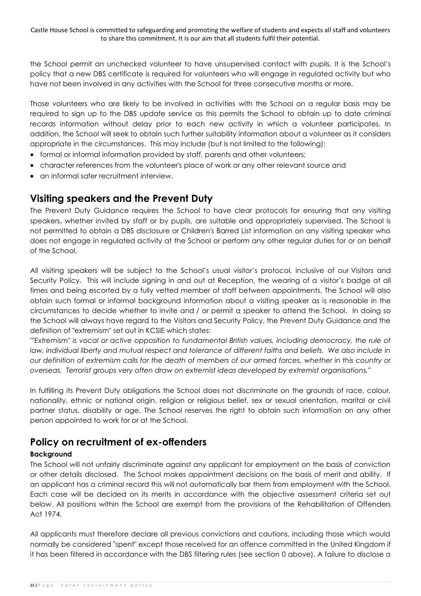the School permit an unchecked volunteer to have unsupervised contact with pupils. It is the School's policy that a new DBS certificate is required for volunteers who will engage in regulated activity but who have not been involved in any activities with the School for three consecutive months or more.

Those volunteers who are likely to be involved in activities with the School on a regular basis may be required to sign up to the DBS update service as this permits the School to obtain up to date criminal records information without delay prior to each new activity in which a volunteer participates. In addition, the School will seek to obtain such further suitability information about a volunteer as it considers appropriate in the circumstances. This may include (but is not limited to the following):

- formal or informal information provided by staff, parents and other volunteers;
- character references from the volunteer's place of work or any other relevant source and
- an informal safer recruitment interview.

### <span id="page-10-0"></span>**Visiting speakers and the Prevent Duty**

The Prevent Duty Guidance requires the School to have clear protocols for ensuring that any visiting speakers, whether invited by staff or by pupils, are suitable and appropriately supervised. The School is not permitted to obtain a DBS disclosure or Children's Barred List information on any visiting speaker who does not engage in regulated activity at the School or perform any other regular duties for or on behalf of the School.

All visiting speakers will be subject to the School's usual visitor's protocol, inclusive of our Visitors and Security Policy. This will include signing in and out at Reception, the wearing of a visitor's badge at all times and being escorted by a fully vetted member of staff between appointments. The School will also obtain such formal or informal background information about a visiting speaker as is reasonable in the circumstances to decide whether to invite and / or permit a speaker to attend the School. In doing so the School will always have regard to the Visitors and Security Policy, the Prevent Duty Guidance and the definition of "extremism" set out in KCSIE which states:

"*"Extremism" is vocal or active opposition to fundamental British values, including democracy, the rule of*  law, individual liberty and mutual respect and tolerance of different faiths and beliefs. We also include in *our definition of extremism calls for the death of members of our armed forces, whether in this country or overseas. Terrorist groups very often draw on extremist ideas developed by extremist organisations.*"

In fulfilling its Prevent Duty obligations the School does not discriminate on the grounds of race, colour, nationality, ethnic or national origin, religion or religious belief, sex or sexual orientation, marital or civil partner status, disability or age. The School reserves the right to obtain such information on any other person appointed to work for or at the School.

### **Policy on recruitment of ex-offenders**

#### **Background**

The School will not unfairly discriminate against any applicant for employment on the basis of conviction or other details disclosed. The School makes appointment decisions on the basis of merit and ability. If an applicant has a criminal record this will not automatically bar them from employment with the School. Each case will be decided on its merits in accordance with the objective assessment criteria set out below. All positions within the School are exempt from the provisions of the Rehabilitation of Offenders Act 1974.

All applicants must therefore declare all previous convictions and cautions, including those which would normally be considered "spent" except those received for an offence committed in the United Kingdom if it has been filtered in accordance with the DBS filtering rules (see section [0](#page-4-0) above). A failure to disclose a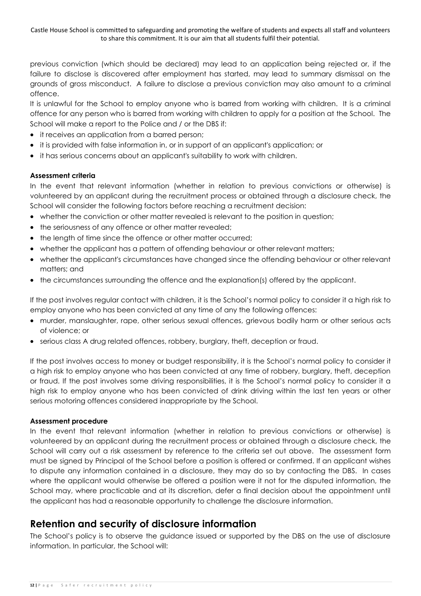previous conviction (which should be declared) may lead to an application being rejected or, if the failure to disclose is discovered after employment has started, may lead to summary dismissal on the grounds of gross misconduct. A failure to disclose a previous conviction may also amount to a criminal offence.

It is unlawful for the School to employ anyone who is barred from working with children. It is a criminal offence for any person who is barred from working with children to apply for a position at the School. The School will make a report to the Police and / or the DBS if:

- it receives an application from a barred person;
- it is provided with false information in, or in support of an applicant's application; or
- it has serious concerns about an applicant's suitability to work with children.

#### **Assessment criteria**

In the event that relevant information (whether in relation to previous convictions or otherwise) is volunteered by an applicant during the recruitment process or obtained through a disclosure check, the School will consider the following factors before reaching a recruitment decision:

- whether the conviction or other matter revealed is relevant to the position in question;
- the seriousness of any offence or other matter revealed;
- the length of time since the offence or other matter occurred;
- whether the applicant has a pattern of offending behaviour or other relevant matters;
- whether the applicant's circumstances have changed since the offending behaviour or other relevant matters; and
- the circumstances surrounding the offence and the explanation(s) offered by the applicant.

If the post involves regular contact with children, it is the School's normal policy to consider it a high risk to employ anyone who has been convicted at any time of any the following offences:

- murder, manslaughter, rape, other serious sexual offences, grievous bodily harm or other serious acts of violence; or
- serious class A drug related offences, robbery, burglary, theft, deception or fraud.

If the post involves access to money or budget responsibility, it is the School's normal policy to consider it a high risk to employ anyone who has been convicted at any time of robbery, burglary, theft, deception or fraud. If the post involves some driving responsibilities, it is the School's normal policy to consider it a high risk to employ anyone who has been convicted of drink driving within the last ten years or other serious motoring offences considered inappropriate by the School.

#### **Assessment procedure**

In the event that relevant information (whether in relation to previous convictions or otherwise) is volunteered by an applicant during the recruitment process or obtained through a disclosure check, the School will carry out a risk assessment by reference to the criteria set out above. The assessment form must be signed by Principal of the School before a position is offered or confirmed. If an applicant wishes to dispute any information contained in a disclosure, they may do so by contacting the DBS. In cases where the applicant would otherwise be offered a position were it not for the disputed information, the School may, where practicable and at its discretion, defer a final decision about the appointment until the applicant has had a reasonable opportunity to challenge the disclosure information.

### **Retention and security of disclosure information**

The School's policy is to observe the guidance issued or supported by the DBS on the use of disclosure information. In particular, the School will: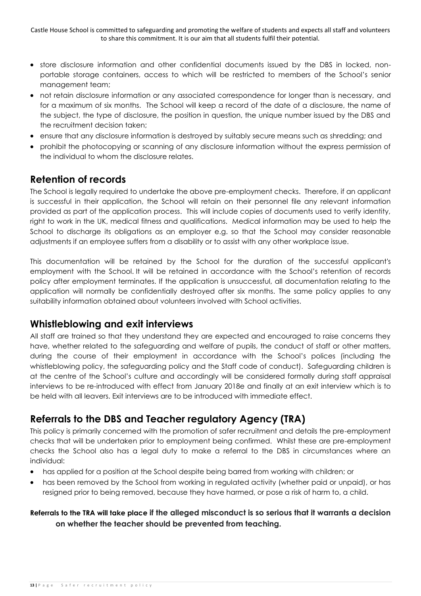- store disclosure information and other confidential documents issued by the DBS in locked, nonportable storage containers, access to which will be restricted to members of the School's senior management team;
- not retain disclosure information or any associated correspondence for longer than is necessary, and for a maximum of six months. The School will keep a record of the date of a disclosure, the name of the subject, the type of disclosure, the position in question, the unique number issued by the DBS and the recruitment decision taken;
- ensure that any disclosure information is destroyed by suitably secure means such as shredding; and
- prohibit the photocopying or scanning of any disclosure information without the express permission of the individual to whom the disclosure relates.

### **Retention of records**

The School is legally required to undertake the above pre-employment checks. Therefore, if an applicant is successful in their application, the School will retain on their personnel file any relevant information provided as part of the application process. This will include copies of documents used to verify identity, right to work in the UK, medical fitness and qualifications. Medical information may be used to help the School to discharge its obligations as an employer e.g. so that the School may consider reasonable adjustments if an employee suffers from a disability or to assist with any other workplace issue.

This documentation will be retained by the School for the duration of the successful applicant's employment with the School. It will be retained in accordance with the School's retention of records policy after employment terminates. If the application is unsuccessful, all documentation relating to the application will normally be confidentially destroyed after six months. The same policy applies to any suitability information obtained about volunteers involved with School activities.

### **Whistleblowing and exit interviews**

All staff are trained so that they understand they are expected and encouraged to raise concerns they have, whether related to the safeguarding and welfare of pupils, the conduct of staff or other matters, during the course of their employment in accordance with the School's polices (including the whistleblowing policy, the safeguarding policy and the Staff code of conduct). Safeguarding children is at the centre of the School's culture and accordingly will be considered formally during staff appraisal interviews to be re-introduced with effect from January 2018e and finally at an exit interview which is to be held with all leavers. Exit interviews are to be introduced with immediate effect.

### **Referrals to the DBS and Teacher regulatory Agency (TRA)**

This policy is primarily concerned with the promotion of safer recruitment and details the pre-employment checks that will be undertaken prior to employment being confirmed. Whilst these are pre-employment checks the School also has a legal duty to make a referral to the DBS in circumstances where an individual:

- has applied for a position at the School despite being barred from working with children; or
- has been removed by the School from working in regulated activity (whether paid or unpaid), or has resigned prior to being removed, because they have harmed, or pose a risk of harm to, a child.

#### **Referrals to the TRA will take place if the alleged misconduct is so serious that it warrants a decision on whether the teacher should be prevented from teaching.**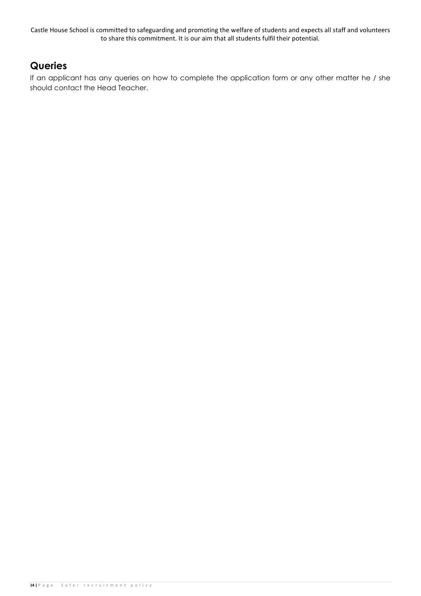### **Queries**

If an applicant has any queries on how to complete the application form or any other matter he / she should contact the Head Teacher.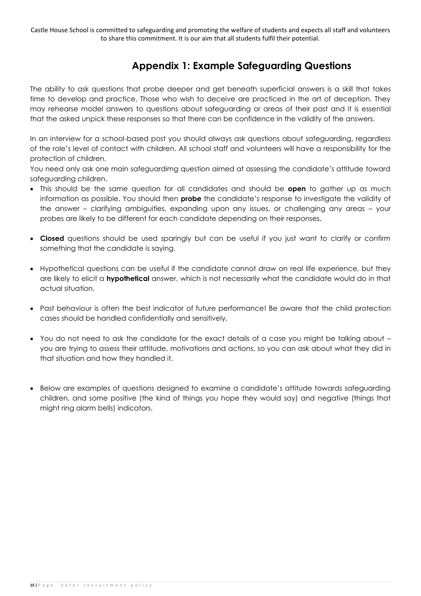### **Appendix 1: Example Safeguarding Questions**

The ability to ask questions that probe deeper and get beneath superficial answers is a skill that takes time to develop and practice. Those who wish to deceive are practiced in the art of deception. They may rehearse model answers to questions about safeguarding or areas of their past and it is essential that the asked unpick these responses so that there can be confidence in the validity of the answers.

In an interview for a school-based post you should always ask questions about safeguarding, regardless of the role's level of contact with children. All school staff and volunteers will have a responsibility for the protection of children.

You need only ask one main safeguardimg question aimed at assessing the candidate's attitude toward safeguarding children.

- This should be the same question for all candidates and should be **open** to gather up as much information as possible. You should then **probe** the candidate's response to investigate the validity of the answer – clarifying ambiguities, expanding upon any issues, or challenging any areas – your probes are likely to be different for each candidate depending on their responses.
- **Closed** questions should be used sparingly but can be useful if you just want to clarify or confirm something that the candidate is saying.
- Hypothetical questions can be useful if the candidate cannot draw on real life experience, but they are likely to elicit a **hypothetical** answer, which is not necessarily what the candidate would do in that actual situation.
- Past behaviour is often the best indicator of future performance! Be aware that the child protection cases should be handled confidentially and sensitively.
- You do not need to ask the candidate for the exact details of a case you might be talking about you are trying to assess their attitude, motivations and actions, so you can ask about what they did in that situation and how they handled it.
- Below are examples of questions designed to examine a candidate's attitude towards safeguarding children, and some positive (the kind of things you hope they would say) and negative (things that might ring alarm bells) indicators.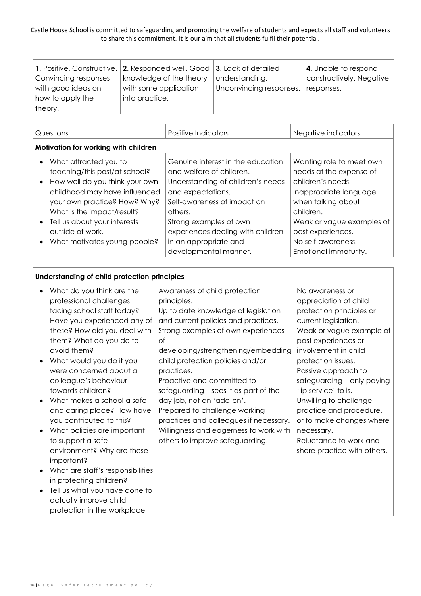|                      | 1. Positive. Constructive. 2. Responded well. Good 3. Lack of detailed |                         | 4. Unable to respond     |
|----------------------|------------------------------------------------------------------------|-------------------------|--------------------------|
| Convincing responses | knowledge of the theory                                                | understanding.          | constructively. Negative |
| with good ideas on   | with some application                                                  | Unconvincing responses. | responses.               |
| how to apply the     | into practice.                                                         |                         |                          |
| theory.              |                                                                        |                         |                          |

| Questions                                                                                                                                                                                                                                                                                                                       | Positive Indicators                                                                                                                                                                                                                                                                | Negative indicators                                                                                                                                                                                                                    |  |  |
|---------------------------------------------------------------------------------------------------------------------------------------------------------------------------------------------------------------------------------------------------------------------------------------------------------------------------------|------------------------------------------------------------------------------------------------------------------------------------------------------------------------------------------------------------------------------------------------------------------------------------|----------------------------------------------------------------------------------------------------------------------------------------------------------------------------------------------------------------------------------------|--|--|
| Motivation for working with children                                                                                                                                                                                                                                                                                            |                                                                                                                                                                                                                                                                                    |                                                                                                                                                                                                                                        |  |  |
| What attracted you to<br>$\bullet$<br>teaching/this post/at school?<br>How well do you think your own<br>$\bullet$<br>childhood may have influenced<br>your own practice? How? Why?<br>What is the impact/result?<br>Tell us about your interests<br>$\bullet$<br>outside of work.<br>What motivates young people?<br>$\bullet$ | Genuine interest in the education<br>and welfare of children.<br>Understanding of children's needs<br>and expectations.<br>Self-awareness of impact on<br>others.<br>Strong examples of own<br>experiences dealing with children<br>in an appropriate and<br>developmental manner. | Wanting role to meet own<br>needs at the expense of<br>children's needs.<br>Inappropriate language<br>when talking about<br>children.<br>Weak or vague examples of<br>past experiences.<br>No self-awareness.<br>Emotional immaturity. |  |  |

#### **Understanding of child protection principles**

| What do you think are the<br>professional challenges<br>facing school staff today?<br>Have you experienced any of<br>these? How did you deal with<br>them? What do you do to<br>avoid them?<br>What would you do if you<br>were concerned about a<br>colleague's behaviour<br>towards children?<br>What makes a school a safe<br>and caring place? How have<br>you contributed to this?<br>What policies are important<br>to support a safe<br>environment? Why are these<br>important?<br>What are staff's responsibilities<br>in protecting children?<br>Tell us what you have done to<br>actually improve child | Awareness of child protection<br>principles.<br>Up to date knowledge of legislation<br>and current policies and practices.<br>Strong examples of own experiences<br>of<br>developing/strengthening/embedding<br>child protection policies and/or<br>practices.<br>Proactive and committed to<br>safeguarding – sees it as part of the<br>day job, not an 'add-on'.<br>Prepared to challenge working<br>practices and colleagues if necessary.<br>Willingness and eagerness to work with<br>others to improve safeguarding. | No awareness or<br>appreciation of child<br>protection principles or<br>current legislation.<br>Weak or vague example of<br>past experiences or<br>involvement in child<br>protection issues.<br>Passive approach to<br>safeguarding - only paying<br>'lip service' to is.<br>Unwilling to challenge<br>practice and procedure,<br>or to make changes where<br>necessary.<br>Reluctance to work and<br>share practice with others. |
|--------------------------------------------------------------------------------------------------------------------------------------------------------------------------------------------------------------------------------------------------------------------------------------------------------------------------------------------------------------------------------------------------------------------------------------------------------------------------------------------------------------------------------------------------------------------------------------------------------------------|----------------------------------------------------------------------------------------------------------------------------------------------------------------------------------------------------------------------------------------------------------------------------------------------------------------------------------------------------------------------------------------------------------------------------------------------------------------------------------------------------------------------------|------------------------------------------------------------------------------------------------------------------------------------------------------------------------------------------------------------------------------------------------------------------------------------------------------------------------------------------------------------------------------------------------------------------------------------|
| protection in the workplace                                                                                                                                                                                                                                                                                                                                                                                                                                                                                                                                                                                        |                                                                                                                                                                                                                                                                                                                                                                                                                                                                                                                            |                                                                                                                                                                                                                                                                                                                                                                                                                                    |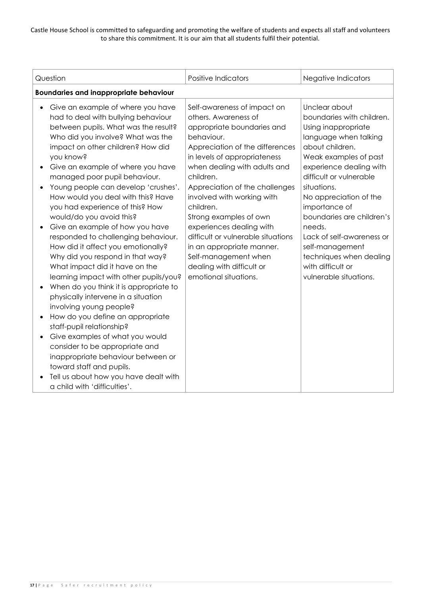| Question                                                                                                                                                                                                                                                                                                                                                                                                                                                                                                                                                                                                                                                                                                                                                                                                                                                                                                                                                                                                                                                            | <b>Positive Indicators</b>                                                                                                                                                                                                                                                                                                                                                                                                                                                                          | Negative Indicators                                                                                                                                                                                                                                                                                                                                                                                                     |  |  |
|---------------------------------------------------------------------------------------------------------------------------------------------------------------------------------------------------------------------------------------------------------------------------------------------------------------------------------------------------------------------------------------------------------------------------------------------------------------------------------------------------------------------------------------------------------------------------------------------------------------------------------------------------------------------------------------------------------------------------------------------------------------------------------------------------------------------------------------------------------------------------------------------------------------------------------------------------------------------------------------------------------------------------------------------------------------------|-----------------------------------------------------------------------------------------------------------------------------------------------------------------------------------------------------------------------------------------------------------------------------------------------------------------------------------------------------------------------------------------------------------------------------------------------------------------------------------------------------|-------------------------------------------------------------------------------------------------------------------------------------------------------------------------------------------------------------------------------------------------------------------------------------------------------------------------------------------------------------------------------------------------------------------------|--|--|
| <b>Boundaries and inappropriate behaviour</b>                                                                                                                                                                                                                                                                                                                                                                                                                                                                                                                                                                                                                                                                                                                                                                                                                                                                                                                                                                                                                       |                                                                                                                                                                                                                                                                                                                                                                                                                                                                                                     |                                                                                                                                                                                                                                                                                                                                                                                                                         |  |  |
| Give an example of where you have<br>$\bullet$<br>had to deal with bullying behaviour<br>between pupils. What was the result?<br>Who did you involve? What was the<br>impact on other children? How did<br>you know?<br>Give an example of where you have<br>managed poor pupil behaviour.<br>Young people can develop 'crushes'.<br>How would you deal with this? Have<br>you had experience of this? How<br>would/do you avoid this?<br>Give an example of how you have<br>responded to challenging behaviour.<br>How did it affect you emotionally?<br>Why did you respond in that way?<br>What impact did it have on the<br>learning impact with other pupils/you?<br>When do you think it is appropriate to<br>physically intervene in a situation<br>involving young people?<br>How do you define an appropriate<br>staff-pupil relationship?<br>Give examples of what you would<br>consider to be appropriate and<br>inappropriate behaviour between or<br>toward staff and pupils.<br>Tell us about how you have dealt with<br>a child with 'difficulties'. | Self-awareness of impact on<br>others. Awareness of<br>appropriate boundaries and<br>behaviour.<br>Appreciation of the differences<br>in levels of appropriateness<br>when dealing with adults and<br>children.<br>Appreciation of the challenges<br>involved with working with<br>children.<br>Strong examples of own<br>experiences dealing with<br>difficult or vulnerable situations<br>in an appropriate manner.<br>Self-management when<br>dealing with difficult or<br>emotional situations. | Unclear about<br>boundaries with children.<br>Using inappropriate<br>language when talking<br>about children.<br>Weak examples of past<br>experience dealing with<br>difficult or vulnerable<br>situations.<br>No appreciation of the<br>importance of<br>boundaries are children's<br>needs.<br>Lack of self-awareness or<br>self-management<br>techniques when dealing<br>with difficult or<br>vulnerable situations. |  |  |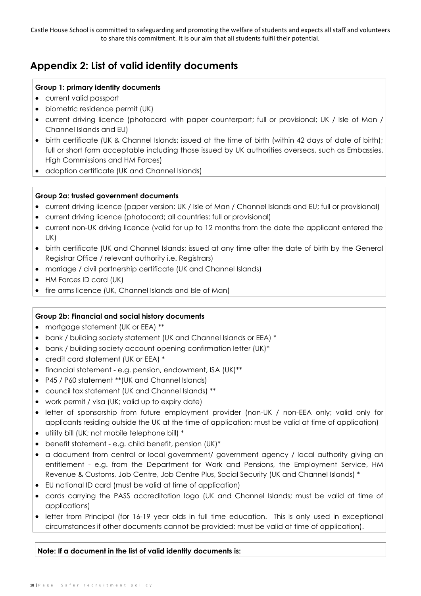### **Appendix 2: List of valid identity documents**

#### **Group 1: primary identity documents**

- current valid passport
- biometric residence permit (UK)
- current driving licence (photocard with paper counterpart; full or provisional; UK / Isle of Man / Channel Islands and EU)
- birth certificate (UK & Channel Islands; issued at the time of birth (within 42 days of date of birth); full or short form acceptable including those issued by UK authorities overseas, such as Embassies, High Commissions and HM Forces)
- adoption certificate (UK and Channel Islands)

#### **Group 2a: trusted government documents**

- current driving licence (paper version; UK / Isle of Man / Channel Islands and EU; full or provisional)
- current driving licence (photocard; all countries; full or provisional)
- current non-UK driving licence (valid for up to 12 months from the date the applicant entered the UK)
- birth certificate (UK and Channel Islands; issued at any time after the date of birth by the General Registrar Office / relevant authority i.e. Registrars)
- marriage / civil partnership certificate (UK and Channel Islands)
- HM Forces ID card (UK)
- fire arms licence (UK, Channel Islands and Isle of Man)

#### **Group 2b: Financial and social history documents**

- mortgage statement (UK or EEA) \*\*
- bank / building society statement (UK and Channel Islands or EEA) \*
- bank / building society account opening confirmation letter (UK)\*
- credit card statement (UK or EEA) \*
- financial statement e.g. pension, endowment, ISA (UK)\*\*
- P45 / P60 statement \*\*(UK and Channel Islands)
- council tax statement (UK and Channel Islands) \*\*
- work permit / visa (UK; valid up to expiry date)
- letter of sponsorship from future employment provider (non-UK / non-EEA only; valid only for applicants residing outside the UK at the time of application; must be valid at time of application)
- utility bill (UK; not mobile telephone bill) \*
- benefit statement e.g. child benefit, pension (UK)\*
- a document from central or local government/ government agency / local authority giving an entitlement - e.g. from the Department for Work and Pensions, the Employment Service, HM Revenue & Customs, Job Centre, Job Centre Plus, Social Security (UK and Channel Islands) \*
- EU national ID card (must be valid at time of application)
- cards carrying the PASS accreditation logo (UK and Channel Islands; must be valid at time of applications)
- letter from Principal (for 16-19 year olds in full time education. This is only used in exceptional circumstances if other documents cannot be provided; must be valid at time of application).

**Note: If a document in the list of valid identity documents is:**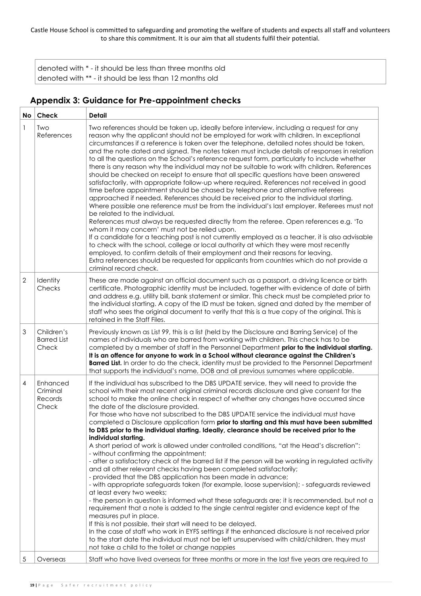denoted with \* - it should be less than three months old denoted with \*\* - it should be less than 12 months old

#### **Appendix 3: Guidance for Pre-appointment checks**

| No           | Check                                     | <b>Detail</b>                                                                                                                                                                                                                                                                                                                                                                                                                                                                                                                                                                                                                                                                                                                                                                                                                                                                                                                                                                                                                                                                                                                                                                                                                                                                                                                                                                                                                                                                                                                                                                                                                                                                                            |
|--------------|-------------------------------------------|----------------------------------------------------------------------------------------------------------------------------------------------------------------------------------------------------------------------------------------------------------------------------------------------------------------------------------------------------------------------------------------------------------------------------------------------------------------------------------------------------------------------------------------------------------------------------------------------------------------------------------------------------------------------------------------------------------------------------------------------------------------------------------------------------------------------------------------------------------------------------------------------------------------------------------------------------------------------------------------------------------------------------------------------------------------------------------------------------------------------------------------------------------------------------------------------------------------------------------------------------------------------------------------------------------------------------------------------------------------------------------------------------------------------------------------------------------------------------------------------------------------------------------------------------------------------------------------------------------------------------------------------------------------------------------------------------------|
| 1            | Two<br>References                         | Two references should be taken up, ideally before interview, including a request for any<br>reason why the applicant should not be employed for work with children. In exceptional<br>circumstances if a reference is taken over the telephone, detailed notes should be taken,<br>and the note dated and signed. The notes taken must include details of responses in relation<br>to all the questions on the School's reference request form, particularly to include whether<br>there is any reason why the individual may not be suitable to work with children. References<br>should be checked on receipt to ensure that all specific questions have been answered<br>satisfactorily, with appropriate follow-up where required. References not received in good<br>time before appointment should be chased by telephone and alternative referees<br>approached if needed. References should be received prior to the individual starting.<br>Where possible one reference must be from the individual's last employer. Referees must not<br>be related to the individual.<br>References must always be requested directly from the referee. Open references e.g. 'To<br>whom it may concern' must not be relied upon.<br>If a candidate for a teaching post is not currently employed as a teacher, it is also advisable<br>to check with the school, college or local authority at which they were most recently<br>employed, to confirm details of their employment and their reasons for leaving.<br>Extra references should be requested for applicants from countries which do not provide a<br>criminal record check.                                                                      |
| $\mathbf{2}$ | Identity<br>Checks                        | These are made against an official document such as a passport, a driving licence or birth<br>certificate. Photographic identity must be included, together with evidence of date of birth<br>and address e.g. utility bill, bank statement or similar. This check must be completed prior to<br>the individual starting. A copy of the ID must be taken, signed and dated by the member of<br>staff who sees the original document to verify that this is a true copy of the original. This is<br>retained in the Staff Files.                                                                                                                                                                                                                                                                                                                                                                                                                                                                                                                                                                                                                                                                                                                                                                                                                                                                                                                                                                                                                                                                                                                                                                          |
| 3            | Children's<br><b>Barred List</b><br>Check | Previously known as List 99, this is a list (held by the Disclosure and Barring Service) of the<br>names of individuals who are barred from working with children. This check has to be<br>completed by a member of staff in the Personnel Department prior to the individual starting.<br>It is an offence for anyone to work in a School without clearance against the Children's<br>Barred List. In order to do the check, identity must be provided to the Personnel Department<br>that supports the individual's name, DOB and all previous surnames where applicable.                                                                                                                                                                                                                                                                                                                                                                                                                                                                                                                                                                                                                                                                                                                                                                                                                                                                                                                                                                                                                                                                                                                              |
| 4            | Enhanced<br>Criminal<br>Records<br>Check  | If the individual has subscribed to the DBS UPDATE service, they will need to provide the<br>school with their most recent original criminal records disclosure and give consent for the<br>school to make the online check in respect of whether any changes have occurred since<br>the date of the disclosure provided.<br>For those who have not subscribed to the DBS UPDATE service the individual must have<br>completed a Disclosure application form prior to starting and this must have been submitted<br>to DBS prior to the individual starting. Ideally, clearance should be received prior to the<br>individual starting.<br>A short period of work is allowed under controlled conditions, "at the Head's discretion":<br>- without confirming the appointment;<br>- after a satisfactory check of the barred list if the person will be working in regulated activity<br>and all other relevant checks having been completed satisfactorily;<br>- provided that the DBS application has been made in advance;<br>- with appropriate safeguards taken (for example, loose supervision); - safeguards reviewed<br>at least every two weeks;<br>- the person in question is informed what these safeguards are; it is recommended, but not a<br>requirement that a note is added to the single central register and evidence kept of the<br>measures put in place.<br>If this is not possible, their start will need to be delayed.<br>In the case of staff who work in EYFS settings if the enhanced disclosure is not received prior<br>to the start date the individual must not be left unsupervised with child/children, they must<br>not take a child to the toilet or change nappies |
| 5            | Overseas                                  | Staff who have lived overseas for three months or more in the last five years are required to                                                                                                                                                                                                                                                                                                                                                                                                                                                                                                                                                                                                                                                                                                                                                                                                                                                                                                                                                                                                                                                                                                                                                                                                                                                                                                                                                                                                                                                                                                                                                                                                            |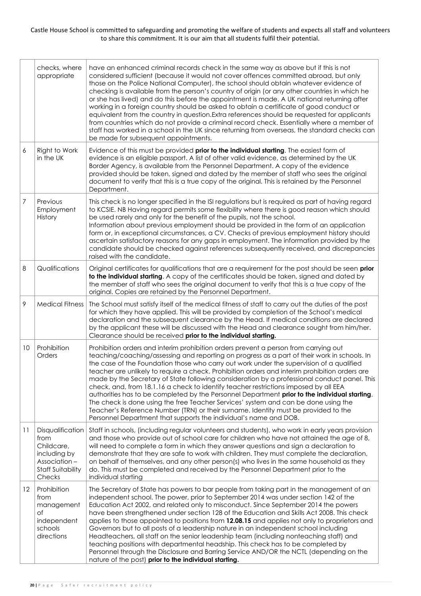|    | checks, where<br>appropriate                                                                                 | have an enhanced criminal records check in the same way as above but if this is not<br>considered sufficient (because it would not cover offences committed abroad, but only<br>those on the Police National Computer), the school should obtain whatever evidence of<br>checking is available from the person's country of origin (or any other countries in which he<br>or she has lived) and do this before the appointment is made. A UK national returning after<br>working in a foreign country should be asked to obtain a certificate of good conduct or<br>equivalent from the country in question. Extra references should be requested for applicants<br>from countries which do not provide a criminal record check. Essentially where a member of<br>staff has worked in a school in the UK since returning from overseas, the standard checks can<br>be made for subsequent appointments.                        |
|----|--------------------------------------------------------------------------------------------------------------|--------------------------------------------------------------------------------------------------------------------------------------------------------------------------------------------------------------------------------------------------------------------------------------------------------------------------------------------------------------------------------------------------------------------------------------------------------------------------------------------------------------------------------------------------------------------------------------------------------------------------------------------------------------------------------------------------------------------------------------------------------------------------------------------------------------------------------------------------------------------------------------------------------------------------------|
| 6  | Right to Work<br>in the UK                                                                                   | Evidence of this must be provided prior to the individual starting. The easiest form of<br>evidence is an eligible passport. A list of other valid evidence, as determined by the UK<br>Border Agency, is available from the Personnel Department. A copy of the evidence<br>provided should be taken, signed and dated by the member of staff who sees the original<br>document to verify that this is a true copy of the original. This is retained by the Personnel<br>Department.                                                                                                                                                                                                                                                                                                                                                                                                                                          |
| 7  | Previous<br>Employment<br>History                                                                            | This check is no longer specified in the ISI regulations but is required as part of having regard<br>to KCSIE. NB Having regard permits some flexibility where there is good reason which should<br>be used rarely and only for the benefit of the pupils, not the school.<br>Information about previous employment should be provided in the form of an application<br>form or, in exceptional circumstances, a CV. Checks of previous employment history should<br>ascertain satisfactory reasons for any gaps in employment. The information provided by the<br>candidate should be checked against references subsequently received, and discrepancies<br>raised with the candidate.                                                                                                                                                                                                                                       |
| 8  | Qualifications                                                                                               | Original certificates for qualifications that are a requirement for the post should be seen prior<br>to the individual starting. A copy of the certificates should be taken, signed and dated by<br>the member of staff who sees the original document to verify that this is a true copy of the<br>original. Copies are retained by the Personnel Department.                                                                                                                                                                                                                                                                                                                                                                                                                                                                                                                                                                 |
| 9  | <b>Medical Fitness</b>                                                                                       | The School must satisfy itself of the medical fitness of staff to carry out the duties of the post<br>for which they have applied. This will be provided by completion of the School's medical<br>declaration and the subsequent clearance by the Head. If medical conditions are declared<br>by the applicant these will be discussed with the Head and clearance sought from him/her.<br>Clearance should be received prior to the individual starting.                                                                                                                                                                                                                                                                                                                                                                                                                                                                      |
| 10 | Prohibition<br>Orders                                                                                        | Prohibition orders and interim prohibition orders prevent a person from carrying out<br>teaching/coaching/assessing and reporting on progress as a part of their work in schools. In<br>the case of the Foundation those who carry out work under the supervision of a qualified<br>teacher are unlikely to require a check. Prohibition orders and interim prohibition orders are<br>made by the Secretary of State following consideration by a professional conduct panel. This<br>check, and, from 18.1.16 a check to identify teacher restrictions imposed by all EEA<br>authorities has to be completed by the Personnel Department prior to the individual starting.<br>The check is done using the free Teacher Services' system and can be done using the<br>Teacher's Reference Number (TRN) or their surname. Identity must be provided to the<br>Personnel Department that supports the individual's name and DOB. |
| 11 | Disqualification<br>from<br>Childcare,<br>including by<br>Association-<br><b>Staff Suitability</b><br>Checks | Staff in schools, (including regular volunteers and students), who work in early years provision<br>and those who provide out of school care for children who have not attained the age of 8,<br>will need to complete a form in which they answer questions and sign a declaration to<br>demonstrate that they are safe to work with children. They must complete the declaration,<br>on behalf of themselves, and any other person(s) who lives in the same household as they<br>do. This must be completed and received by the Personnel Department prior to the<br>individual starting                                                                                                                                                                                                                                                                                                                                     |
| 12 | Prohibition<br>from<br>management<br>Οf<br>independent<br>schools<br>directions                              | The Secretary of State has powers to bar people from taking part in the management of an<br>independent school. The power, prior to September 2014 was under section 142 of the<br>Education Act 2002, and related only to misconduct. Since September 2014 the powers<br>have been strengthened under section 128 of the Education and Skills Act 2008. This check<br>applies to those appointed to positions from 12.08.15 and applies not only to proprietors and<br>Governors but to all posts of a leadership nature in an independent school including<br>Headteachers, all staff on the senior leadership team (including nonteaching staff) and<br>teaching positions with departmental headship. This check has to be completed by<br>Personnel through the Disclosure and Barring Service AND/OR the NCTL (depending on the<br>nature of the post) prior to the individual starting.                                 |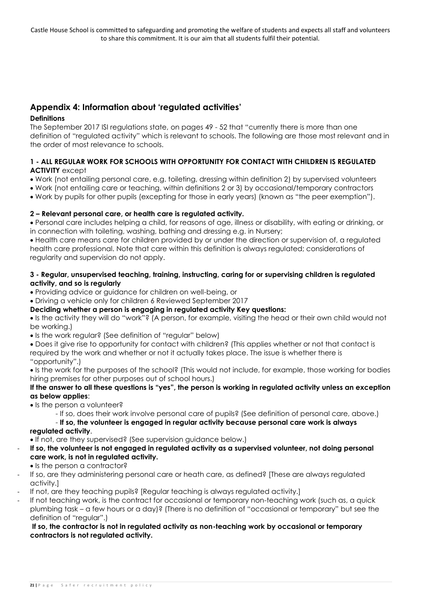#### **Appendix 4: Information about 'regulated activities'**

#### **Definitions**

The September 2017 ISI regulations state, on pages 49 - 52 that "currently there is more than one definition of "regulated activity" which is relevant to schools. The following are those most relevant and in the order of most relevance to schools.

#### **1 - ALL REGULAR WORK FOR SCHOOLS WITH OPPORTUNITY FOR CONTACT WITH CHILDREN IS REGULATED ACTIVITY** except

- Work (not entailing personal care, e.g. toileting, dressing within definition 2) by supervised volunteers
- Work (not entailing care or teaching, within definitions 2 or 3) by occasional/temporary contractors
- Work by pupils for other pupils (excepting for those in early years) (known as "the peer exemption").

#### **2 – Relevant personal care, or health care is regulated activity.**

• Personal care includes helping a child, for reasons of age, illness or disability, with eating or drinking, or in connection with toileting, washing, bathing and dressing e.g. in Nursery;

• Health care means care for children provided by or under the direction or supervision of, a regulated health care professional. Note that care within this definition is always regulated; considerations of regularity and supervision do not apply.

#### **3 - Regular, unsupervised teaching, training, instructing, caring for or supervising children is regulated activity, and so is regularly**

• Providing advice or guidance for children on well-being, or

• Driving a vehicle only for children 6 Reviewed September 2017

#### **Deciding whether a person is engaging in regulated activity Key questions:**

• Is the activity they will do "work"? (A person, for example, visiting the head or their own child would not be working.)

- Is the work regular? (See definition of "regular" below)
- Does it give rise to opportunity for contact with children? (This applies whether or not that contact is required by the work and whether or not it actually takes place. The issue is whether there is "opportunity".)

• Is the work for the purposes of the school? (This would not include, for example, those working for bodies hiring premises for other purposes out of school hours.)

#### **If the answer to all these questions is "yes", the person is working in regulated activity unless an exception as below applies**:

- Is the person a volunteer?
	- If so, does their work involve personal care of pupils? (See definition of personal care, above.)

- **If so, the volunteer is engaged in regular activity because personal care work is always regulated activity**.

• If not, are they supervised? (See supervision guidance below.)

- **If so, the volunteer is not engaged in regulated activity as a supervised volunteer, not doing personal care work, is not in regulated activity.** 
	- Is the person a contractor?
- If so, are they administering personal care or heath care, as defined? [These are always regulated activity.]
- If not, are they teaching pupils? [Regular teaching is always regulated activity.]
- If not teaching work, is the contract for occasional or temporary non-teaching work (such as, a quick plumbing task – a few hours or a day)? (There is no definition of "occasional or temporary" but see the definition of "regular".)

#### **If so, the contractor is not in regulated activity as non-teaching work by occasional or temporary contractors is not regulated activity.**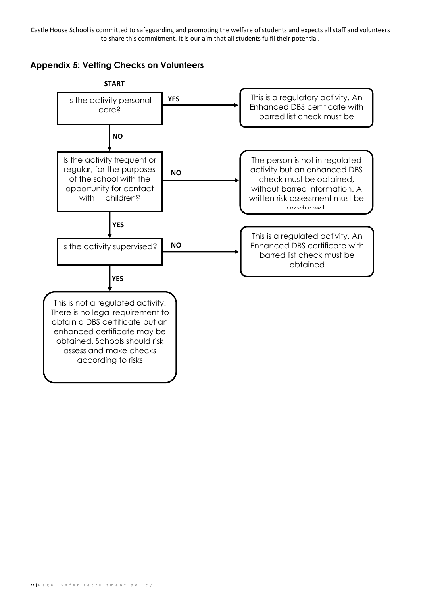**Appendix 5: Vetting Checks on Volunteers**